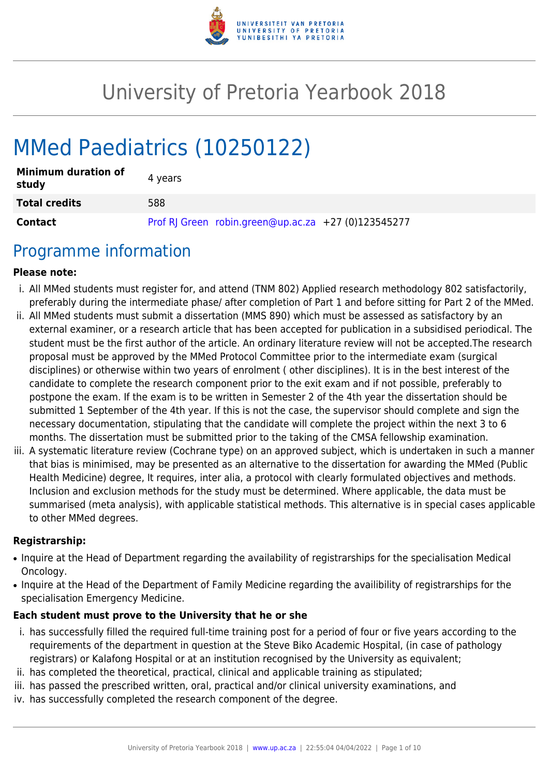

# University of Pretoria Yearbook 2018

# MMed Paediatrics (10250122)

| <b>Minimum duration of</b><br>study | 4 years                                             |
|-------------------------------------|-----------------------------------------------------|
| <b>Total credits</b>                | 588                                                 |
| <b>Contact</b>                      | Prof RJ Green robin.green@up.ac.za +27 (0)123545277 |

### Programme information

#### **Please note:**

- i. All MMed students must register for, and attend (TNM 802) Applied research methodology 802 satisfactorily, preferably during the intermediate phase/ after completion of Part 1 and before sitting for Part 2 of the MMed.
- ii. All MMed students must submit a dissertation (MMS 890) which must be assessed as satisfactory by an external examiner, or a research article that has been accepted for publication in a subsidised periodical. The student must be the first author of the article. An ordinary literature review will not be accepted.The research proposal must be approved by the MMed Protocol Committee prior to the intermediate exam (surgical disciplines) or otherwise within two years of enrolment ( other disciplines). It is in the best interest of the candidate to complete the research component prior to the exit exam and if not possible, preferably to postpone the exam. If the exam is to be written in Semester 2 of the 4th year the dissertation should be submitted 1 September of the 4th year. If this is not the case, the supervisor should complete and sign the necessary documentation, stipulating that the candidate will complete the project within the next 3 to 6 months. The dissertation must be submitted prior to the taking of the CMSA fellowship examination.
- iii. A systematic literature review (Cochrane type) on an approved subject, which is undertaken in such a manner that bias is minimised, may be presented as an alternative to the dissertation for awarding the MMed (Public Health Medicine) degree, It requires, inter alia, a protocol with clearly formulated objectives and methods. Inclusion and exclusion methods for the study must be determined. Where applicable, the data must be summarised (meta analysis), with applicable statistical methods. This alternative is in special cases applicable to other MMed degrees.

#### **Registrarship:**

- Inquire at the Head of Department regarding the availability of registrarships for the specialisation Medical Oncology.
- Inquire at the Head of the Department of Family Medicine regarding the availibility of registrarships for the specialisation Emergency Medicine.

#### **Each student must prove to the University that he or she**

- i. has successfully filled the required full-time training post for a period of four or five years according to the requirements of the department in question at the Steve Biko Academic Hospital, (in case of pathology registrars) or Kalafong Hospital or at an institution recognised by the University as equivalent;
- ii. has completed the theoretical, practical, clinical and applicable training as stipulated;
- iii. has passed the prescribed written, oral, practical and/or clinical university examinations, and
- iv. has successfully completed the research component of the degree.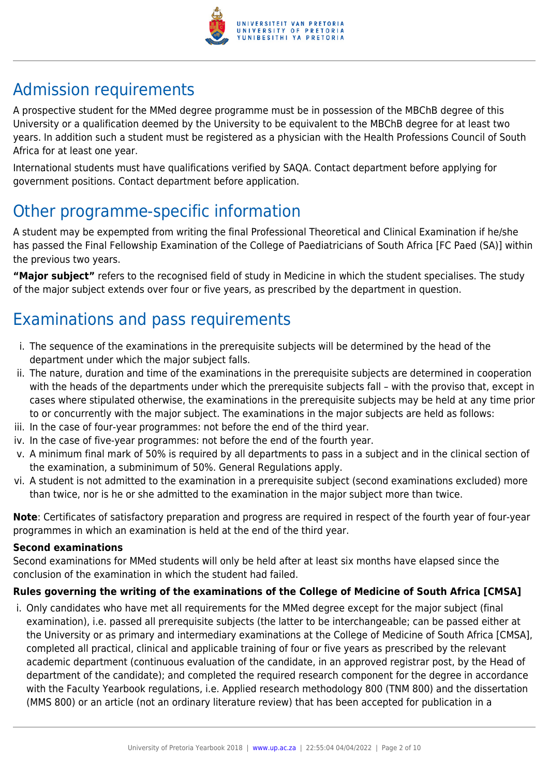

# Admission requirements

A prospective student for the MMed degree programme must be in possession of the MBChB degree of this University or a qualification deemed by the University to be equivalent to the MBChB degree for at least two years. In addition such a student must be registered as a physician with the Health Professions Council of South Africa for at least one year.

International students must have qualifications verified by SAQA. Contact department before applying for government positions. Contact department before application.

# Other programme-specific information

A student may be expempted from writing the final Professional Theoretical and Clinical Examination if he/she has passed the Final Fellowship Examination of the College of Paediatricians of South Africa [FC Paed (SA)] within the previous two years.

**"Major subject"** refers to the recognised field of study in Medicine in which the student specialises. The study of the major subject extends over four or five years, as prescribed by the department in question.

# Examinations and pass requirements

- i. The sequence of the examinations in the prerequisite subjects will be determined by the head of the department under which the major subject falls.
- ii. The nature, duration and time of the examinations in the prerequisite subjects are determined in cooperation with the heads of the departments under which the prerequisite subjects fall – with the proviso that, except in cases where stipulated otherwise, the examinations in the prerequisite subjects may be held at any time prior to or concurrently with the major subject. The examinations in the major subjects are held as follows:
- iii. In the case of four-year programmes: not before the end of the third year.
- iv. In the case of five-year programmes: not before the end of the fourth year.
- v. A minimum final mark of 50% is required by all departments to pass in a subject and in the clinical section of the examination, a subminimum of 50%. General Regulations apply.
- vi. A student is not admitted to the examination in a prerequisite subject (second examinations excluded) more than twice, nor is he or she admitted to the examination in the major subject more than twice.

**Note**: Certificates of satisfactory preparation and progress are required in respect of the fourth year of four-year programmes in which an examination is held at the end of the third year.

### **Second examinations**

Second examinations for MMed students will only be held after at least six months have elapsed since the conclusion of the examination in which the student had failed.

### **Rules governing the writing of the examinations of the College of Medicine of South Africa [CMSA]**

i. Only candidates who have met all requirements for the MMed degree except for the major subject (final examination), i.e. passed all prerequisite subjects (the latter to be interchangeable; can be passed either at the University or as primary and intermediary examinations at the College of Medicine of South Africa [CMSA], completed all practical, clinical and applicable training of four or five years as prescribed by the relevant academic department (continuous evaluation of the candidate, in an approved registrar post, by the Head of department of the candidate); and completed the required research component for the degree in accordance with the Faculty Yearbook regulations, i.e. Applied research methodology 800 (TNM 800) and the dissertation (MMS 800) or an article (not an ordinary literature review) that has been accepted for publication in a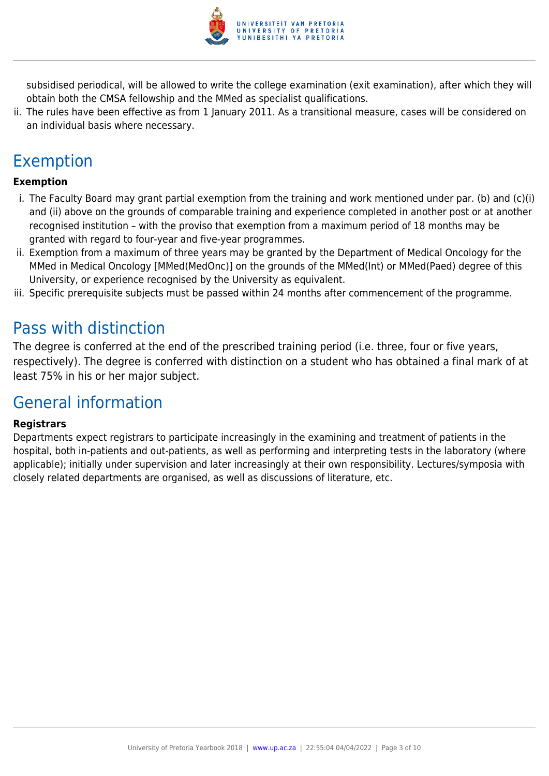

subsidised periodical, will be allowed to write the college examination (exit examination), after which they will obtain both the CMSA fellowship and the MMed as specialist qualifications.

ii. The rules have been effective as from 1 January 2011. As a transitional measure, cases will be considered on an individual basis where necessary.

## Exemption

### **Exemption**

- i. The Faculty Board may grant partial exemption from the training and work mentioned under par. (b) and (c)(i) and (ii) above on the grounds of comparable training and experience completed in another post or at another recognised institution – with the proviso that exemption from a maximum period of 18 months may be granted with regard to four-year and five-year programmes.
- ii. Exemption from a maximum of three years may be granted by the Department of Medical Oncology for the MMed in Medical Oncology [MMed(MedOnc)] on the grounds of the MMed(Int) or MMed(Paed) degree of this University, or experience recognised by the University as equivalent.
- iii. Specific prerequisite subjects must be passed within 24 months after commencement of the programme.

### Pass with distinction

The degree is conferred at the end of the prescribed training period (i.e. three, four or five years, respectively). The degree is conferred with distinction on a student who has obtained a final mark of at least 75% in his or her major subject.

### General information

#### **Registrars**

Departments expect registrars to participate increasingly in the examining and treatment of patients in the hospital, both in-patients and out-patients, as well as performing and interpreting tests in the laboratory (where applicable); initially under supervision and later increasingly at their own responsibility. Lectures/symposia with closely related departments are organised, as well as discussions of literature, etc.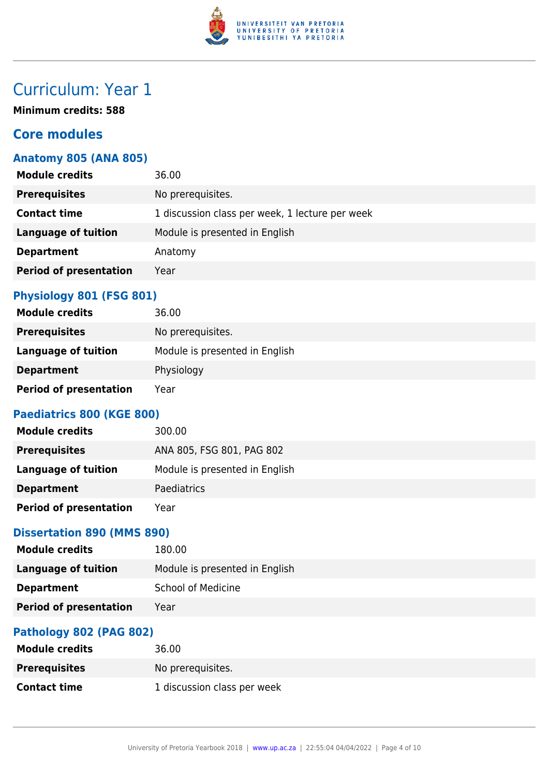

# Curriculum: Year 1

**Minimum credits: 588**

### **Core modules**

### **Anatomy 805 (ANA 805)**

| <b>Module credits</b>         | 36.00                                           |
|-------------------------------|-------------------------------------------------|
| <b>Prerequisites</b>          | No prerequisites.                               |
| <b>Contact time</b>           | 1 discussion class per week, 1 lecture per week |
| <b>Language of tuition</b>    | Module is presented in English                  |
| <b>Department</b>             | Anatomy                                         |
| <b>Period of presentation</b> | Year                                            |
|                               |                                                 |

### **Physiology 801 (FSG 801)**

| <b>Module credits</b>         | 36.00                          |
|-------------------------------|--------------------------------|
| <b>Prerequisites</b>          | No prerequisites.              |
| Language of tuition           | Module is presented in English |
| <b>Department</b>             | Physiology                     |
| <b>Period of presentation</b> | Year                           |

### **Paediatrics 800 (KGE 800)**

| <b>Module credits</b>         | 300.00                         |
|-------------------------------|--------------------------------|
| <b>Prerequisites</b>          | ANA 805, FSG 801, PAG 802      |
| Language of tuition           | Module is presented in English |
| <b>Department</b>             | <b>Paediatrics</b>             |
| <b>Period of presentation</b> | Year                           |

### **Dissertation 890 (MMS 890)**

| <b>Module credits</b>         | 180.00                         |
|-------------------------------|--------------------------------|
| Language of tuition           | Module is presented in English |
| <b>Department</b>             | <b>School of Medicine</b>      |
| <b>Period of presentation</b> | Year                           |
|                               |                                |

### **Pathology 802 (PAG 802)**

| <b>Module credits</b> | 36.00                       |
|-----------------------|-----------------------------|
| <b>Prerequisites</b>  | No prereguisites.           |
| <b>Contact time</b>   | 1 discussion class per week |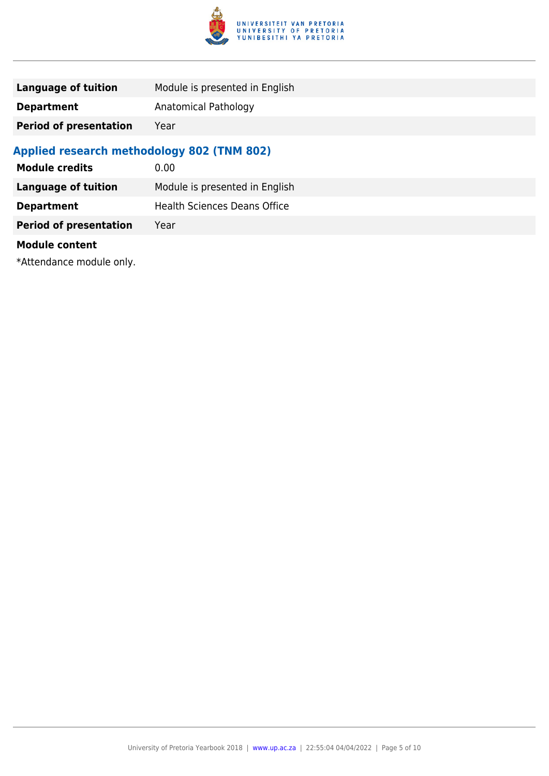

| Language of tuition           | Module is presented in English |
|-------------------------------|--------------------------------|
| <b>Department</b>             | Anatomical Pathology           |
| <b>Period of presentation</b> | Year                           |

### **Applied research methodology 802 (TNM 802)**

| <b>Module credits</b>         | 0.00                           |
|-------------------------------|--------------------------------|
| <b>Language of tuition</b>    | Module is presented in English |
| <b>Department</b>             | Health Sciences Deans Office   |
| <b>Period of presentation</b> | Year                           |
| <b>Module content</b>         |                                |

\*Attendance module only.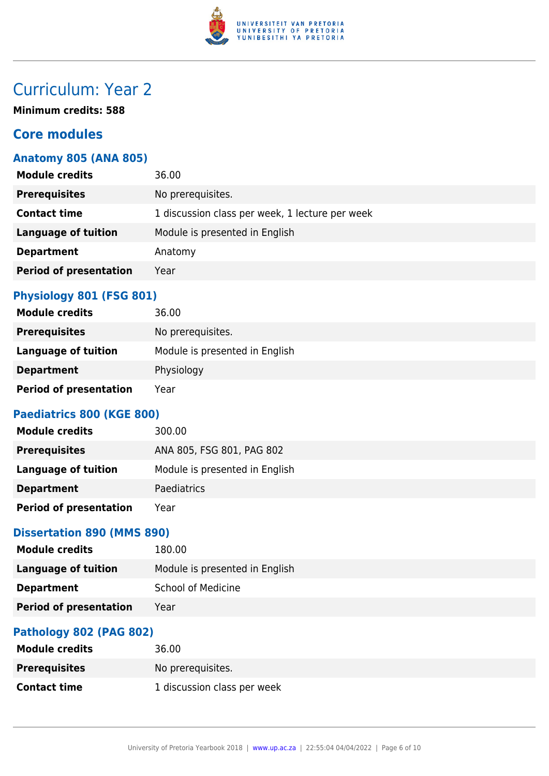

# Curriculum: Year 2

**Minimum credits: 588**

### **Core modules**

### **Anatomy 805 (ANA 805)**

| <b>Module credits</b>         | 36.00                                           |
|-------------------------------|-------------------------------------------------|
| <b>Prerequisites</b>          | No prerequisites.                               |
| <b>Contact time</b>           | 1 discussion class per week, 1 lecture per week |
| <b>Language of tuition</b>    | Module is presented in English                  |
| <b>Department</b>             | Anatomy                                         |
| <b>Period of presentation</b> | Year                                            |
|                               |                                                 |

### **Physiology 801 (FSG 801)**

| <b>Module credits</b>         | 36.00                          |
|-------------------------------|--------------------------------|
| <b>Prerequisites</b>          | No prerequisites.              |
| Language of tuition           | Module is presented in English |
| <b>Department</b>             | Physiology                     |
| <b>Period of presentation</b> | Year                           |

### **Paediatrics 800 (KGE 800)**

| <b>Module credits</b>         | 300.00                         |
|-------------------------------|--------------------------------|
| <b>Prerequisites</b>          | ANA 805, FSG 801, PAG 802      |
| Language of tuition           | Module is presented in English |
| <b>Department</b>             | <b>Paediatrics</b>             |
| <b>Period of presentation</b> | Year                           |

### **Dissertation 890 (MMS 890)**

| <b>Module credits</b>         | 180.00                         |
|-------------------------------|--------------------------------|
| <b>Language of tuition</b>    | Module is presented in English |
| <b>Department</b>             | <b>School of Medicine</b>      |
| <b>Period of presentation</b> | Year                           |
|                               |                                |

### **Pathology 802 (PAG 802)**

| <b>Module credits</b> | 36.00                       |
|-----------------------|-----------------------------|
| <b>Prerequisites</b>  | No prereguisites.           |
| <b>Contact time</b>   | 1 discussion class per week |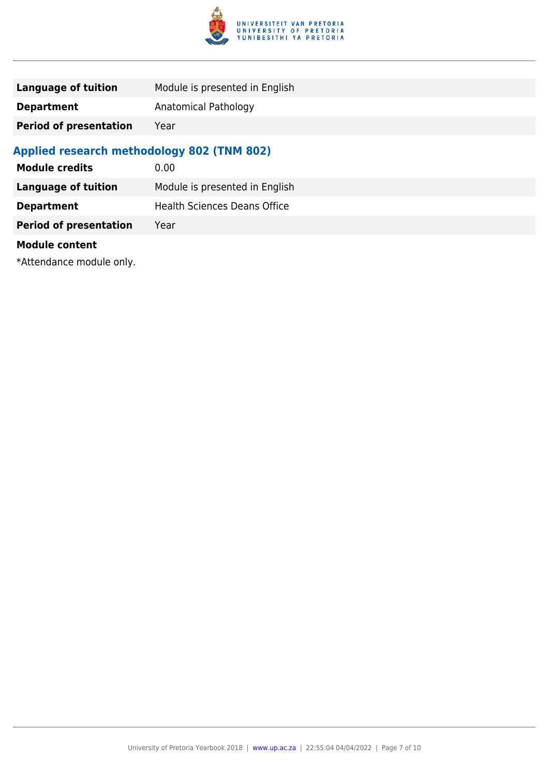

| Language of tuition           | Module is presented in English |
|-------------------------------|--------------------------------|
| <b>Department</b>             | Anatomical Pathology           |
| <b>Period of presentation</b> | Year                           |

### **Applied research methodology 802 (TNM 802)**

| <b>Module credits</b>         | 0.00                                |
|-------------------------------|-------------------------------------|
| <b>Language of tuition</b>    | Module is presented in English      |
| <b>Department</b>             | <b>Health Sciences Deans Office</b> |
| <b>Period of presentation</b> | Year                                |
| <b>Module content</b>         |                                     |

\*Attendance module only.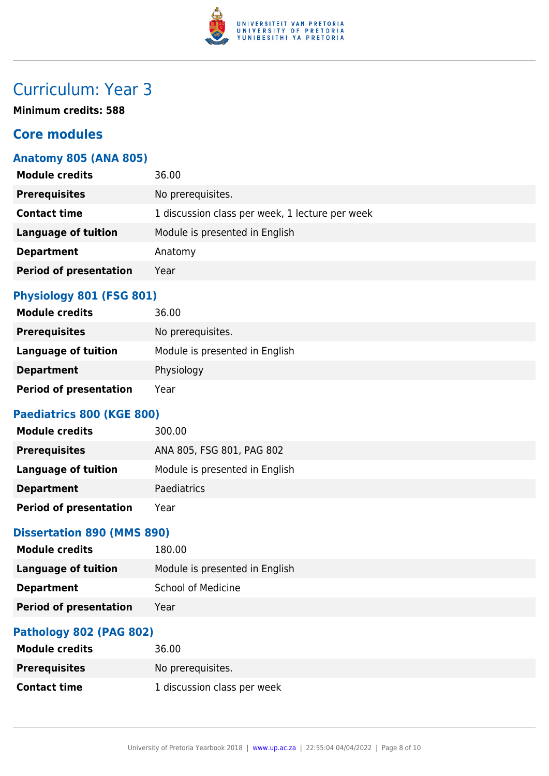

# Curriculum: Year 3

**Minimum credits: 588**

### **Core modules**

### **Anatomy 805 (ANA 805)**

| <b>Module credits</b>         | 36.00                                           |
|-------------------------------|-------------------------------------------------|
| <b>Prerequisites</b>          | No prerequisites.                               |
| <b>Contact time</b>           | 1 discussion class per week, 1 lecture per week |
| <b>Language of tuition</b>    | Module is presented in English                  |
| <b>Department</b>             | Anatomy                                         |
| <b>Period of presentation</b> | Year                                            |
|                               |                                                 |

### **Physiology 801 (FSG 801)**

| <b>Module credits</b>         | 36.00                          |
|-------------------------------|--------------------------------|
| <b>Prerequisites</b>          | No prerequisites.              |
| Language of tuition           | Module is presented in English |
| <b>Department</b>             | Physiology                     |
| <b>Period of presentation</b> | Year                           |

### **Paediatrics 800 (KGE 800)**

| <b>Module credits</b>         | 300.00                         |
|-------------------------------|--------------------------------|
| <b>Prerequisites</b>          | ANA 805, FSG 801, PAG 802      |
| Language of tuition           | Module is presented in English |
| <b>Department</b>             | Paediatrics                    |
| <b>Period of presentation</b> | Year                           |

### **Dissertation 890 (MMS 890)**

| <b>Module credits</b>         | 180.00                         |
|-------------------------------|--------------------------------|
| <b>Language of tuition</b>    | Module is presented in English |
| <b>Department</b>             | <b>School of Medicine</b>      |
| <b>Period of presentation</b> | Year                           |
|                               |                                |

### **Pathology 802 (PAG 802)**

| <b>Module credits</b> | 36.00                       |
|-----------------------|-----------------------------|
| <b>Prerequisites</b>  | No prereguisites.           |
| <b>Contact time</b>   | 1 discussion class per week |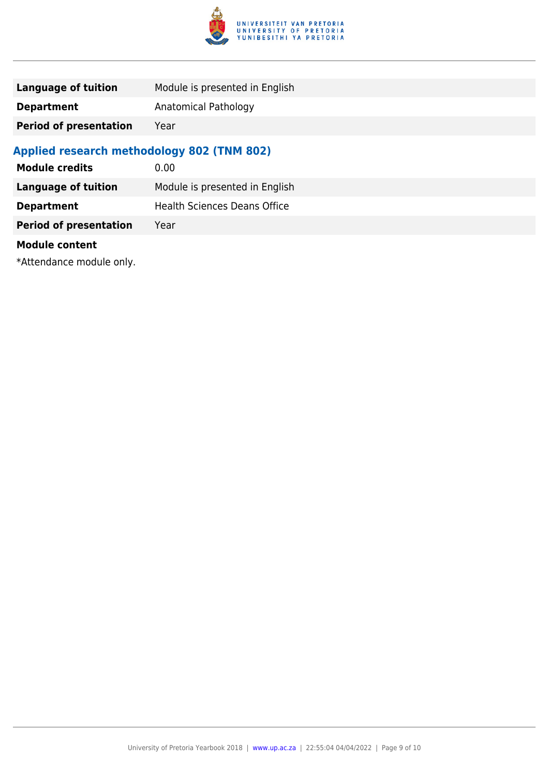

| Language of tuition           | Module is presented in English |
|-------------------------------|--------------------------------|
| <b>Department</b>             | Anatomical Pathology           |
| <b>Period of presentation</b> | Year                           |

### **Applied research methodology 802 (TNM 802)**

| <b>Module credits</b>         | 0.00                                |
|-------------------------------|-------------------------------------|
| <b>Language of tuition</b>    | Module is presented in English      |
| <b>Department</b>             | <b>Health Sciences Deans Office</b> |
| <b>Period of presentation</b> | Year                                |
| <b>Module content</b>         |                                     |

\*Attendance module only.